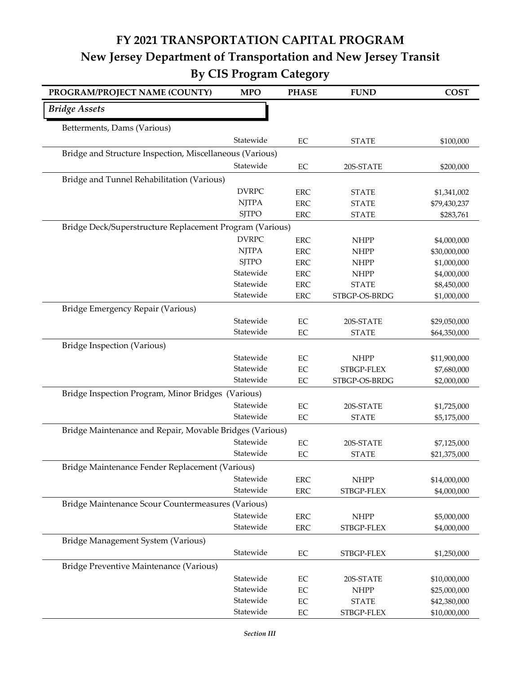## **FY 2021 TRANSPORTATION CAPITAL PROGRAM New Jersey Department of Transportation and New Jersey Transit By CIS Program Category**

| PROGRAM/PROJECT NAME (COUNTY)                            | <b>MPO</b>   | <b>PHASE</b> | <b>FUND</b>              | <b>COST</b>                  |
|----------------------------------------------------------|--------------|--------------|--------------------------|------------------------------|
| <b>Bridge Assets</b>                                     |              |              |                          |                              |
| Betterments, Dams (Various)                              |              |              |                          |                              |
|                                                          | Statewide    | EC           | <b>STATE</b>             | \$100,000                    |
| Bridge and Structure Inspection, Miscellaneous (Various) |              |              |                          |                              |
|                                                          | Statewide    | $\rm EC$     | 20S-STATE                | \$200,000                    |
| Bridge and Tunnel Rehabilitation (Various)               |              |              |                          |                              |
|                                                          | <b>DVRPC</b> | <b>ERC</b>   | <b>STATE</b>             | \$1,341,002                  |
|                                                          | <b>NJTPA</b> | <b>ERC</b>   | <b>STATE</b>             | \$79,430,237                 |
|                                                          | <b>SJTPO</b> | <b>ERC</b>   | <b>STATE</b>             | \$283,761                    |
| Bridge Deck/Superstructure Replacement Program (Various) |              |              |                          |                              |
|                                                          | <b>DVRPC</b> | <b>ERC</b>   | <b>NHPP</b>              | \$4,000,000                  |
|                                                          | <b>NJTPA</b> | <b>ERC</b>   | <b>NHPP</b>              | \$30,000,000                 |
|                                                          | <b>SJTPO</b> | <b>ERC</b>   | <b>NHPP</b>              | \$1,000,000                  |
|                                                          | Statewide    | <b>ERC</b>   | <b>NHPP</b>              | \$4,000,000                  |
|                                                          | Statewide    | <b>ERC</b>   | <b>STATE</b>             | \$8,450,000                  |
|                                                          | Statewide    | <b>ERC</b>   | STBGP-OS-BRDG            | \$1,000,000                  |
| Bridge Emergency Repair (Various)                        |              |              |                          |                              |
|                                                          | Statewide    | $\rm EC$     | 20S-STATE                | \$29,050,000                 |
|                                                          | Statewide    | $\rm EC$     | <b>STATE</b>             | \$64,350,000                 |
| <b>Bridge Inspection (Various)</b>                       |              |              |                          |                              |
|                                                          | Statewide    | $\rm EC$     | <b>NHPP</b>              | \$11,900,000                 |
|                                                          | Statewide    | EC           | STBGP-FLEX               | \$7,680,000                  |
|                                                          | Statewide    | $\rm EC$     | STBGP-OS-BRDG            | \$2,000,000                  |
| Bridge Inspection Program, Minor Bridges (Various)       |              |              |                          |                              |
|                                                          | Statewide    | EC           | 20S-STATE                | \$1,725,000                  |
|                                                          | Statewide    | $\rm EC$     | <b>STATE</b>             | \$5,175,000                  |
| Bridge Maintenance and Repair, Movable Bridges (Various) |              |              |                          |                              |
|                                                          | Statewide    | $\rm EC$     | 20S-STATE                | \$7,125,000                  |
|                                                          | Statewide    | EC           | <b>STATE</b>             | \$21,375,000                 |
| Bridge Maintenance Fender Replacement (Various)          |              |              |                          |                              |
|                                                          | Statewide    | <b>ERC</b>   | <b>NHPP</b>              | \$14,000,000                 |
|                                                          | Statewide    | <b>ERC</b>   | STBGP-FLEX               | \$4,000,000                  |
| Bridge Maintenance Scour Countermeasures (Various)       |              |              |                          |                              |
|                                                          | Statewide    | ERC          | <b>NHPP</b>              | \$5,000,000                  |
|                                                          | Statewide    | <b>ERC</b>   | STBGP-FLEX               | \$4,000,000                  |
| Bridge Management System (Various)                       |              |              |                          |                              |
|                                                          | Statewide    | $\rm EC$     | STBGP-FLEX               | \$1,250,000                  |
| Bridge Preventive Maintenance (Various)                  |              |              |                          |                              |
|                                                          | Statewide    | $\rm EC$     |                          |                              |
|                                                          | Statewide    | $\rm EC$     | 20S-STATE<br><b>NHPP</b> | \$10,000,000<br>\$25,000,000 |
|                                                          | Statewide    | $\rm EC$     | <b>STATE</b>             | \$42,380,000                 |
|                                                          | Statewide    | $\rm EC$     | STBGP-FLEX               | \$10,000,000                 |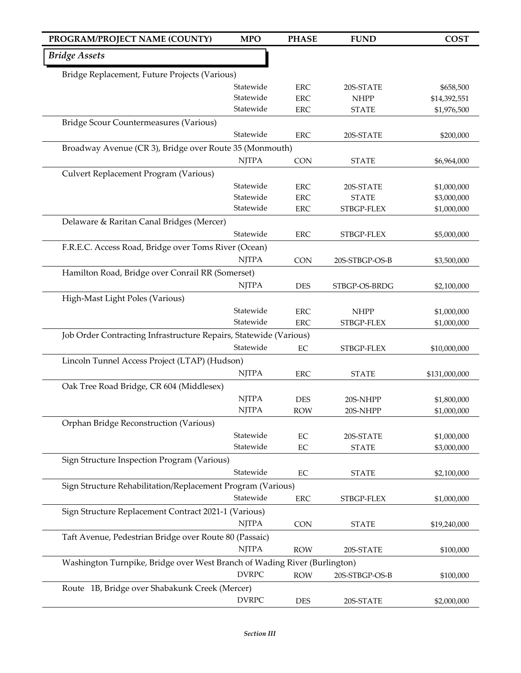| PROGRAM/PROJECT NAME (COUNTY)                                             | <b>MPO</b>                                              | <b>PHASE</b> | <b>FUND</b>    | <b>COST</b>   |  |  |
|---------------------------------------------------------------------------|---------------------------------------------------------|--------------|----------------|---------------|--|--|
| <b>Bridge Assets</b>                                                      |                                                         |              |                |               |  |  |
| Bridge Replacement, Future Projects (Various)                             |                                                         |              |                |               |  |  |
|                                                                           | Statewide                                               | <b>ERC</b>   | 20S-STATE      | \$658,500     |  |  |
|                                                                           | Statewide                                               | <b>ERC</b>   | <b>NHPP</b>    | \$14,392,551  |  |  |
|                                                                           | Statewide                                               | <b>ERC</b>   | <b>STATE</b>   | \$1,976,500   |  |  |
| Bridge Scour Countermeasures (Various)                                    |                                                         |              |                |               |  |  |
|                                                                           | Statewide                                               | <b>ERC</b>   | 20S-STATE      | \$200,000     |  |  |
|                                                                           | Broadway Avenue (CR 3), Bridge over Route 35 (Monmouth) |              |                |               |  |  |
|                                                                           | <b>NJTPA</b>                                            | <b>CON</b>   | <b>STATE</b>   | \$6,964,000   |  |  |
| Culvert Replacement Program (Various)                                     |                                                         |              |                |               |  |  |
|                                                                           | Statewide                                               | <b>ERC</b>   | 20S-STATE      | \$1,000,000   |  |  |
|                                                                           | Statewide                                               | <b>ERC</b>   | <b>STATE</b>   | \$3,000,000   |  |  |
|                                                                           | Statewide                                               | <b>ERC</b>   | STBGP-FLEX     | \$1,000,000   |  |  |
| Delaware & Raritan Canal Bridges (Mercer)                                 |                                                         |              |                |               |  |  |
|                                                                           | Statewide                                               | <b>ERC</b>   | STBGP-FLEX     | \$5,000,000   |  |  |
| F.R.E.C. Access Road, Bridge over Toms River (Ocean)                      |                                                         |              |                |               |  |  |
|                                                                           | <b>NJTPA</b>                                            | <b>CON</b>   | 20S-STBGP-OS-B | \$3,500,000   |  |  |
| Hamilton Road, Bridge over Conrail RR (Somerset)                          |                                                         |              |                |               |  |  |
|                                                                           | <b>NJTPA</b>                                            | <b>DES</b>   | STBGP-OS-BRDG  | \$2,100,000   |  |  |
| High-Mast Light Poles (Various)                                           |                                                         |              |                |               |  |  |
|                                                                           | Statewide                                               | <b>ERC</b>   | <b>NHPP</b>    | \$1,000,000   |  |  |
|                                                                           | Statewide                                               | <b>ERC</b>   | STBGP-FLEX     | \$1,000,000   |  |  |
| Job Order Contracting Infrastructure Repairs, Statewide (Various)         |                                                         |              |                |               |  |  |
|                                                                           | Statewide                                               | $\rm EC$     | STBGP-FLEX     | \$10,000,000  |  |  |
| Lincoln Tunnel Access Project (LTAP) (Hudson)                             |                                                         |              |                |               |  |  |
|                                                                           | <b>NJTPA</b>                                            | <b>ERC</b>   | <b>STATE</b>   | \$131,000,000 |  |  |
| Oak Tree Road Bridge, CR 604 (Middlesex)                                  |                                                         |              |                |               |  |  |
|                                                                           | <b>NJTPA</b>                                            | <b>DES</b>   | 20S-NHPP       | \$1,800,000   |  |  |
|                                                                           | <b>NJTPA</b>                                            | <b>ROW</b>   | 20S-NHPP       | \$1,000,000   |  |  |
| Orphan Bridge Reconstruction (Various)                                    |                                                         |              |                |               |  |  |
|                                                                           | Statewide                                               | $\rm EC$     | 20S-STATE      | \$1,000,000   |  |  |
|                                                                           | Statewide                                               | $\rm EC$     | <b>STATE</b>   | \$3,000,000   |  |  |
| Sign Structure Inspection Program (Various)                               |                                                         |              |                |               |  |  |
|                                                                           | Statewide                                               | EC           | <b>STATE</b>   | \$2,100,000   |  |  |
| Sign Structure Rehabilitation/Replacement Program (Various)               |                                                         |              |                |               |  |  |
|                                                                           | Statewide                                               | ERC          | STBGP-FLEX     | \$1,000,000   |  |  |
| Sign Structure Replacement Contract 2021-1 (Various)                      |                                                         |              |                |               |  |  |
|                                                                           | <b>NJTPA</b>                                            | CON          | <b>STATE</b>   | \$19,240,000  |  |  |
| Taft Avenue, Pedestrian Bridge over Route 80 (Passaic)                    |                                                         |              |                |               |  |  |
|                                                                           | <b>NJTPA</b>                                            | <b>ROW</b>   | 20S-STATE      | \$100,000     |  |  |
| Washington Turnpike, Bridge over West Branch of Wading River (Burlington) |                                                         |              |                |               |  |  |
|                                                                           | <b>DVRPC</b>                                            | <b>ROW</b>   | 20S-STBGP-OS-B | \$100,000     |  |  |
| Route 1B, Bridge over Shabakunk Creek (Mercer)                            |                                                         |              |                |               |  |  |
|                                                                           | <b>DVRPC</b>                                            | DES          | 20S-STATE      | \$2,000,000   |  |  |
|                                                                           |                                                         |              |                |               |  |  |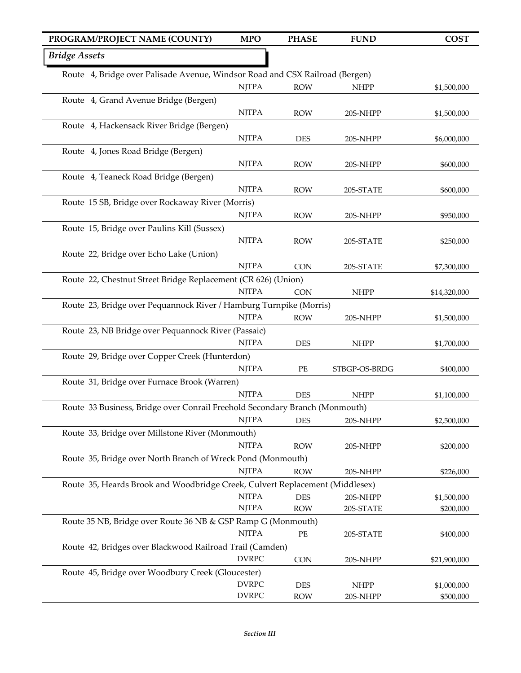## NJTPA ROW NHPP \$1,500,000 NJTPA ROW 20S-NHPP \$1,500,000 NJTPA DES 20S-NHPP \$6,000,000 NJTPA ROW 20S-NHPP \$600,000 NJTPA ROW 20S-STATE \$600,000 NJTPA ROW 20S-NHPP \$950,000 NJTPA ROW 20S-STATE \$250,000 NJTPA CON 20S-STATE \$7,300,000 NJTPA CON NHPP \$14,320,000 NJTPA ROW 20S-NHPP \$1,500,000 NJTPA DES NHPP \$1,700,000 NJTPA PE STBGP-OS-BRDG \$400,000 NJTPA DES NHPP \$1,100,000 NJTPA DES 20S-NHPP \$2,500,000 NJTPA ROW 20S-NHPP \$200,000 NJTPA ROW 20S-NHPP \$226,000 NJTPA DES 20S-NHPP \$1,500,000 NJTPA ROW 20S-STATE \$200,000 NJTPA PE 20S-STATE \$400,000 DVRPC CON 20S-NHPP \$21,900,000 DVRPC DES NHPP \$1,000,000 DVRPC ROW 20S-NHPP \$500,000 *Bridge Assets* Route 4, Bridge over Palisade Avenue, Windsor Road and CSX Railroad (Bergen) Route 4, Grand Avenue Bridge (Bergen) Route 4, Hackensack River Bridge (Bergen) Route 4, Jones Road Bridge (Bergen) Route 4, Teaneck Road Bridge (Bergen) Route 15 SB, Bridge over Rockaway River (Morris) Route 15, Bridge over Paulins Kill (Sussex) Route 22, Bridge over Echo Lake (Union) Route 22, Chestnut Street Bridge Replacement (CR 626) (Union) Route 23, Bridge over Pequannock River / Hamburg Turnpike (Morris) Route 23, NB Bridge over Pequannock River (Passaic) Route 29, Bridge over Copper Creek (Hunterdon) Route 31, Bridge over Furnace Brook (Warren) Route 33 Business, Bridge over Conrail Freehold Secondary Branch (Monmouth) Route 33, Bridge over Millstone River (Monmouth) Route 35, Bridge over North Branch of Wreck Pond (Monmouth) Route 35, Heards Brook and Woodbridge Creek, Culvert Replacement (Middlesex) Route 35 NB, Bridge over Route 36 NB & GSP Ramp G (Monmouth) Route 42, Bridges over Blackwood Railroad Trail (Camden) Route 45, Bridge over Woodbury Creek (Gloucester) **PROGRAM/PROJECT NAME (COUNTY) MPO PHASE FUND COST**